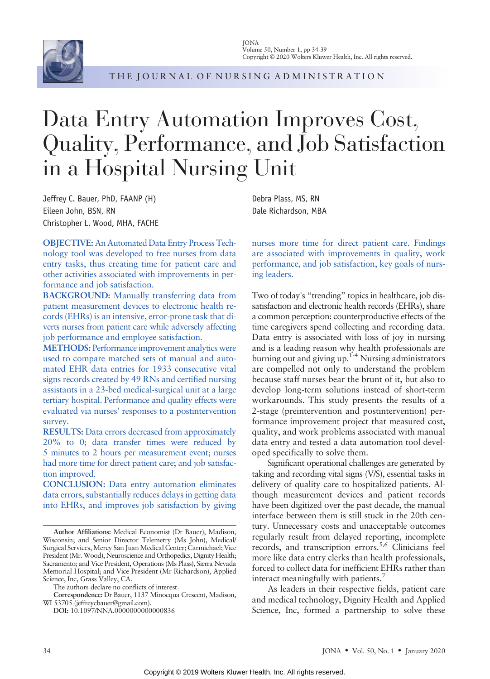

THE JOURNAL OF NURSING ADMINISTRATION

# Data Entry Automation Improves Cost, Quality, Performance, and Job Satisfaction in a Hospital Nursing Unit

Jeffrey C. Bauer, PhD, FAANP (H) Eileen John, BSN, RN Christopher L. Wood, MHA, FACHE

OBJECTIVE: An Automated Data Entry Process Technology tool was developed to free nurses from data entry tasks, thus creating time for patient care and other activities associated with improvements in performance and job satisfaction.

BACKGROUND: Manually transferring data from patient measurement devices to electronic health records (EHRs) is an intensive, error-prone task that diverts nurses from patient care while adversely affecting job performance and employee satisfaction.

METHODS: Performance improvement analytics were used to compare matched sets of manual and automated EHR data entries for 1933 consecutive vital signs records created by 49 RNs and certified nursing assistants in a 23-bed medical-surgical unit at a large tertiary hospital. Performance and quality effects were evaluated via nurses' responses to a postintervention survey.

RESULTS: Data errors decreased from approximately 20% to 0; data transfer times were reduced by 5 minutes to 2 hours per measurement event; nurses had more time for direct patient care; and job satisfaction improved.

CONCLUSION: Data entry automation eliminates data errors, substantially reduces delays in getting data into EHRs, and improves job satisfaction by giving Debra Plass, MS, RN Dale Richardson, MBA

nurses more time for direct patient care. Findings are associated with improvements in quality, work performance, and job satisfaction, key goals of nursing leaders.

Two of today's "trending" topics in healthcare, job dissatisfaction and electronic health records (EHRs), share a common perception: counterproductive effects of the time caregivers spend collecting and recording data. Data entry is associated with loss of joy in nursing and is a leading reason why health professionals are burning out and giving up. $1-4$  Nursing administrators are compelled not only to understand the problem because staff nurses bear the brunt of it, but also to develop long-term solutions instead of short-term workarounds. This study presents the results of a 2-stage (preintervention and postintervention) performance improvement project that measured cost, quality, and work problems associated with manual data entry and tested a data automation tool developed specifically to solve them.

Significant operational challenges are generated by taking and recording vital signs (V/S), essential tasks in delivery of quality care to hospitalized patients. Although measurement devices and patient records have been digitized over the past decade, the manual interface between them is still stuck in the 20th century. Unnecessary costs and unacceptable outcomes regularly result from delayed reporting, incomplete records, and transcription errors.<sup>5,6</sup> Clinicians feel more like data entry clerks than health professionals, forced to collect data for inefficient EHRs rather than interact meaningfully with patients.<sup>7</sup>

As leaders in their respective fields, patient care and medical technology, Dignity Health and Applied Science, Inc, formed a partnership to solve these

Author Affiliations: Medical Economist (Dr Bauer), Madison, Wisconsin; and Senior Director Telemetry (Ms John), Medical/ Surgical Services, Mercy San Juan Medical Center; Carmichael; Vice President (Mr. Wood), Neuroscience and Orthopedics, Dignity Health; Sacramento; and Vice President, Operations (Ms Plass), Sierra Nevada Memorial Hospital; and Vice President (Mr Richardson), Applied Science, Inc, Grass Valley, CA.

The authors declare no conflicts of interest.

Correspondence: Dr Bauer, 1137 Minocqua Crescent, Madison, WI 53705 [\(jeffreycbauer@gmail.com](mailto:jeffreycbauer@gmail.com)).

DOI: 10.1097/NNA.0000000000000836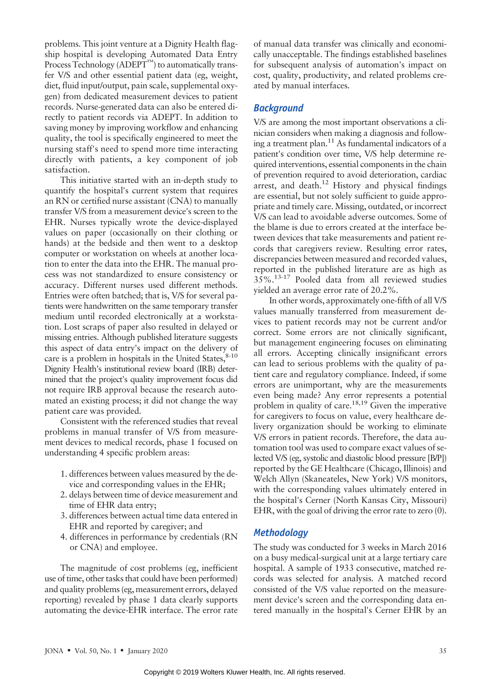problems. This joint venture at a Dignity Health flagship hospital is developing Automated Data Entry Process Technology  $(ADEPT<sup>TM</sup>)$  to automatically transfer V/S and other essential patient data (eg, weight, diet, fluid input/output, pain scale, supplemental oxygen) from dedicated measurement devices to patient records. Nurse-generated data can also be entered directly to patient records via ADEPT. In addition to saving money by improving workflow and enhancing quality, the tool is specifically engineered to meet the nursing staff's need to spend more time interacting directly with patients, a key component of job satisfaction.

This initiative started with an in-depth study to quantify the hospital's current system that requires an RN or certified nurse assistant (CNA) to manually transfer V/S from a measurement device's screen to the EHR. Nurses typically wrote the device-displayed values on paper (occasionally on their clothing or hands) at the bedside and then went to a desktop computer or workstation on wheels at another location to enter the data into the EHR. The manual process was not standardized to ensure consistency or accuracy. Different nurses used different methods. Entries were often batched; that is, V/S for several patients were handwritten on the same temporary transfer medium until recorded electronically at a workstation. Lost scraps of paper also resulted in delayed or missing entries. Although published literature suggests this aspect of data entry's impact on the delivery of care is a problem in hospitals in the United States, $8-10$ Dignity Health's institutional review board (IRB) determined that the project's quality improvement focus did not require IRB approval because the research automated an existing process; it did not change the way patient care was provided.

Consistent with the referenced studies that reveal problems in manual transfer of V/S from measurement devices to medical records, phase 1 focused on understanding 4 specific problem areas:

- 1. differences between values measured by the device and corresponding values in the EHR;
- 2. delays between time of device measurement and time of EHR data entry;
- 3. differences between actual time data entered in EHR and reported by caregiver; and
- 4. differences in performance by credentials (RN or CNA) and employee.

The magnitude of cost problems (eg, inefficient use of time, other tasks that could have been performed) and quality problems (eg, measurement errors, delayed reporting) revealed by phase 1 data clearly supports automating the device-EHR interface. The error rate of manual data transfer was clinically and economically unacceptable. The findings established baselines for subsequent analysis of automation's impact on cost, quality, productivity, and related problems created by manual interfaces.

## **Background**

V/S are among the most important observations a clinician considers when making a diagnosis and following a treatment plan.<sup>11</sup> As fundamental indicators of a patient's condition over time, V/S help determine required interventions, essential components in the chain of prevention required to avoid deterioration, cardiac arrest, and death.<sup>12</sup> History and physical findings are essential, but not solely sufficient to guide appropriate and timely care. Missing, outdated, or incorrect V/S can lead to avoidable adverse outcomes. Some of the blame is due to errors created at the interface between devices that take measurements and patient records that caregivers review. Resulting error rates, discrepancies between measured and recorded values, reported in the published literature are as high as 35%.13-17 Pooled data from all reviewed studies yielded an average error rate of 20.2%.

In other words, approximately one-fifth of all V/S values manually transferred from measurement devices to patient records may not be current and/or correct. Some errors are not clinically significant, but management engineering focuses on eliminating all errors. Accepting clinically insignificant errors can lead to serious problems with the quality of patient care and regulatory compliance. Indeed, if some errors are unimportant, why are the measurements even being made? Any error represents a potential problem in quality of care.18,19 Given the imperative for caregivers to focus on value, every healthcare delivery organization should be working to eliminate V/S errors in patient records. Therefore, the data automation tool was used to compare exact values of selected V/S (eg, systolic and diastolic blood pressure [B/P]) reported by the GE Healthcare (Chicago, Illinois) and Welch Allyn (Skaneateles, New York) V/S monitors, with the corresponding values ultimately entered in the hospital's Cerner (North Kansas City, Missouri) EHR, with the goal of driving the error rate to zero (0).

## **Methodology**

The study was conducted for 3 weeks in March 2016 on a busy medical-surgical unit at a large tertiary care hospital. A sample of 1933 consecutive, matched records was selected for analysis. A matched record consisted of the V/S value reported on the measurement device's screen and the corresponding data entered manually in the hospital's Cerner EHR by an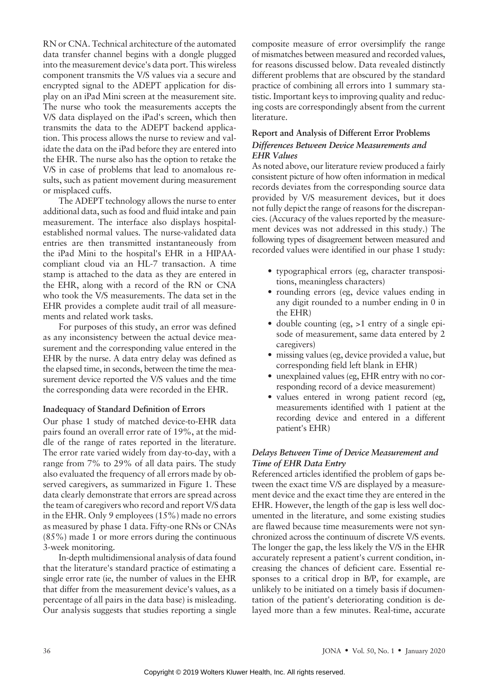RN or CNA. Technical architecture of the automated data transfer channel begins with a dongle plugged into the measurement device's data port. This wireless component transmits the V/S values via a secure and encrypted signal to the ADEPT application for display on an iPad Mini screen at the measurement site. The nurse who took the measurements accepts the V/S data displayed on the iPad's screen, which then transmits the data to the ADEPT backend application. This process allows the nurse to review and validate the data on the iPad before they are entered into the EHR. The nurse also has the option to retake the V/S in case of problems that lead to anomalous results, such as patient movement during measurement or misplaced cuffs.

The ADEPT technology allows the nurse to enter additional data, such as food and fluid intake and pain measurement. The interface also displays hospitalestablished normal values. The nurse-validated data entries are then transmitted instantaneously from the iPad Mini to the hospital's EHR in a HIPAAcompliant cloud via an HL-7 transaction. A time stamp is attached to the data as they are entered in the EHR, along with a record of the RN or CNA who took the V/S measurements. The data set in the EHR provides a complete audit trail of all measurements and related work tasks.

For purposes of this study, an error was defined as any inconsistency between the actual device measurement and the corresponding value entered in the EHR by the nurse. A data entry delay was defined as the elapsed time, in seconds, between the time the measurement device reported the V/S values and the time the corresponding data were recorded in the EHR.

#### Inadequacy of Standard Definition of Errors

Our phase 1 study of matched device-to-EHR data pairs found an overall error rate of 19%, at the middle of the range of rates reported in the literature. The error rate varied widely from day-to-day, with a range from 7% to 29% of all data pairs. The study also evaluated the frequency of all errors made by observed caregivers, as summarized in Figure 1. These data clearly demonstrate that errors are spread across the team of caregivers who record and report V/S data in the EHR. Only 9 employees (15%) made no errors as measured by phase 1 data. Fifty-one RNs or CNAs (85%) made 1 or more errors during the continuous 3-week monitoring.

In-depth multidimensional analysis of data found that the literature's standard practice of estimating a single error rate (ie, the number of values in the EHR that differ from the measurement device's values, as a percentage of all pairs in the data base) is misleading. Our analysis suggests that studies reporting a single composite measure of error oversimplify the range of mismatches between measured and recorded values, for reasons discussed below. Data revealed distinctly different problems that are obscured by the standard practice of combining all errors into 1 summary statistic. Important keys to improving quality and reducing costs are correspondingly absent from the current literature.

## Report and Analysis of Different Error Problems Differences Between Device Measurements and EHR Values

As noted above, our literature review produced a fairly consistent picture of how often information in medical records deviates from the corresponding source data provided by V/S measurement devices, but it does not fully depict the range of reasons for the discrepancies. (Accuracy of the values reported by the measurement devices was not addressed in this study.) The following types of disagreement between measured and recorded values were identified in our phase 1 study:

- typographical errors (eg, character transpositions, meaningless characters)
- rounding errors (eg, device values ending in any digit rounded to a number ending in 0 in the EHR)
- double counting (eg, >1 entry of a single episode of measurement, same data entered by 2 caregivers)
- missing values (eg, device provided a value, but corresponding field left blank in EHR)
- unexplained values (eg, EHR entry with no corresponding record of a device measurement)
- values entered in wrong patient record (eg, measurements identified with 1 patient at the recording device and entered in a different patient's EHR)

# Delays Between Time of Device Measurement and Time of EHR Data Entry

Referenced articles identified the problem of gaps between the exact time V/S are displayed by a measurement device and the exact time they are entered in the EHR. However, the length of the gap is less well documented in the literature, and some existing studies are flawed because time measurements were not synchronized across the continuum of discrete V/S events. The longer the gap, the less likely the V/S in the EHR accurately represent a patient's current condition, increasing the chances of deficient care. Essential responses to a critical drop in B/P, for example, are unlikely to be initiated on a timely basis if documentation of the patient's deteriorating condition is delayed more than a few minutes. Real-time, accurate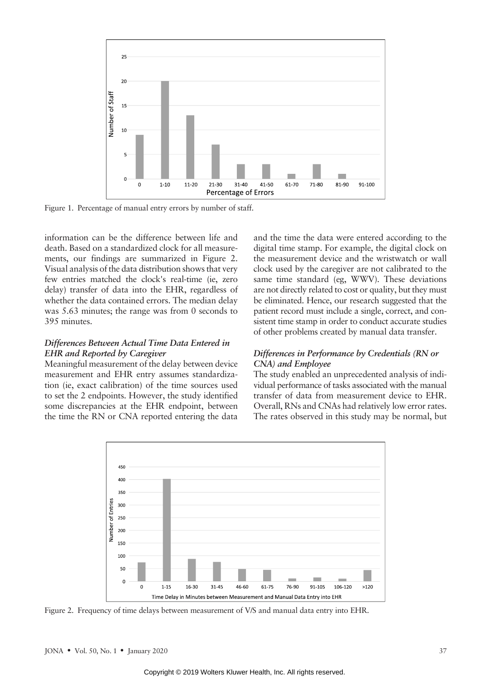

Figure 1. Percentage of manual entry errors by number of staff.

information can be the difference between life and death. Based on a standardized clock for all measurements, our findings are summarized in Figure 2. Visual analysis of the data distribution shows that very few entries matched the clock's real-time (ie, zero delay) transfer of data into the EHR, regardless of whether the data contained errors. The median delay was 5.63 minutes; the range was from 0 seconds to 395 minutes.

#### Differences Between Actual Time Data Entered in EHR and Reported by Caregiver

Meaningful measurement of the delay between device measurement and EHR entry assumes standardization (ie, exact calibration) of the time sources used to set the 2 endpoints. However, the study identified some discrepancies at the EHR endpoint, between the time the RN or CNA reported entering the data and the time the data were entered according to the digital time stamp. For example, the digital clock on the measurement device and the wristwatch or wall clock used by the caregiver are not calibrated to the same time standard (eg, WWV). These deviations are not directly related to cost or quality, but they must be eliminated. Hence, our research suggested that the patient record must include a single, correct, and consistent time stamp in order to conduct accurate studies of other problems created by manual data transfer.

## Differences in Performance by Credentials (RN or CNA) and Employee

The study enabled an unprecedented analysis of individual performance of tasks associated with the manual transfer of data from measurement device to EHR. Overall, RNs and CNAs had relatively low error rates. The rates observed in this study may be normal, but



Figure 2. Frequency of time delays between measurement of V/S and manual data entry into EHR.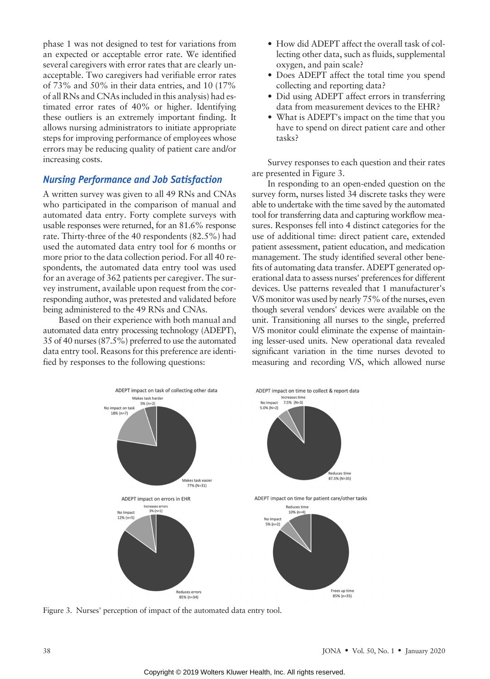phase 1 was not designed to test for variations from an expected or acceptable error rate. We identified several caregivers with error rates that are clearly unacceptable. Two caregivers had verifiable error rates of 73% and 50% in their data entries, and 10 (17% of all RNs and CNAs included in this analysis) had estimated error rates of 40% or higher. Identifying these outliers is an extremely important finding. It allows nursing administrators to initiate appropriate steps for improving performance of employees whose errors may be reducing quality of patient care and/or increasing costs.

## Nursing Performance and Job Satisfaction

A written survey was given to all 49 RNs and CNAs who participated in the comparison of manual and automated data entry. Forty complete surveys with usable responses were returned, for an 81.6% response rate. Thirty-three of the 40 respondents (82.5%) had used the automated data entry tool for 6 months or more prior to the data collection period. For all 40 respondents, the automated data entry tool was used for an average of 362 patients per caregiver. The survey instrument, available upon request from the corresponding author, was pretested and validated before being administered to the 49 RNs and CNAs.

Based on their experience with both manual and automated data entry processing technology (ADEPT), 35 of 40 nurses (87.5%) preferred to use the automated data entry tool. Reasons for this preference are identified by responses to the following questions:

- How did ADEPT affect the overall task of collecting other data, such as fluids, supplemental oxygen, and pain scale?
- Does ADEPT affect the total time you spend collecting and reporting data?
- Did using ADEPT affect errors in transferring data from measurement devices to the EHR?
- What is ADEPT's impact on the time that you have to spend on direct patient care and other tasks?

Survey responses to each question and their rates are presented in Figure 3.

In responding to an open-ended question on the survey form, nurses listed 34 discrete tasks they were able to undertake with the time saved by the automated tool for transferring data and capturing workflow measures. Responses fell into 4 distinct categories for the use of additional time: direct patient care, extended patient assessment, patient education, and medication management. The study identified several other benefits of automating data transfer. ADEPT generated operational data to assess nurses' preferences for different devices. Use patterns revealed that 1 manufacturer's V/S monitor was used by nearly 75% of the nurses, even though several vendors' devices were available on the unit. Transitioning all nurses to the single, preferred V/S monitor could eliminate the expense of maintaining lesser-used units. New operational data revealed significant variation in the time nurses devoted to measuring and recording V/S, which allowed nurse



Figure 3. Nurses' perception of impact of the automated data entry tool.